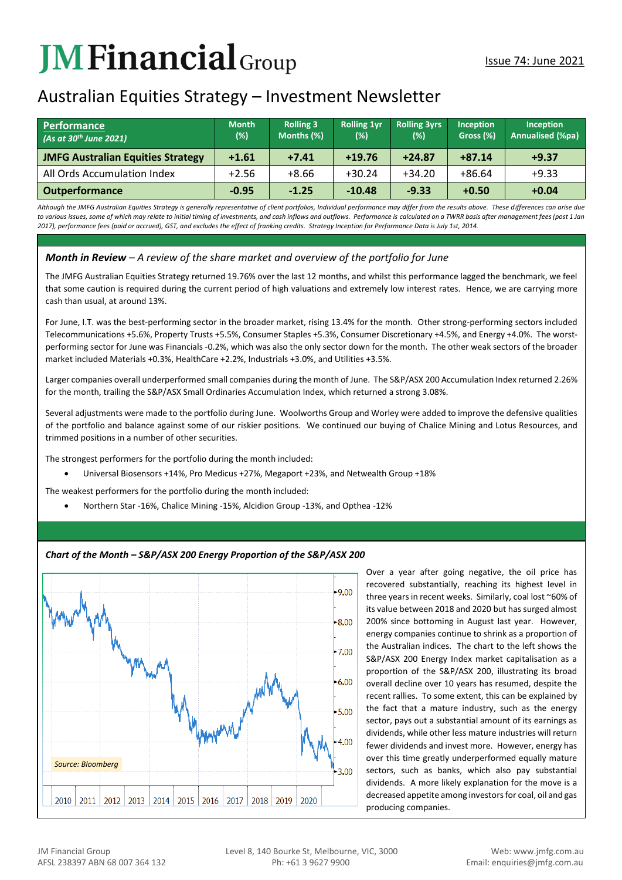# **JMFinancial**Group

# Australian Equities Strategy – Investment Newsletter

| <b>Performance</b><br>(As at 30 <sup>th</sup> June 2021) | <b>Month</b><br>$(\%)$ | <b>Rolling 3</b><br>Months (%) | <b>Rolling 1vr</b><br>(%) | <b>Rolling 3yrs</b><br>(%) | <b>Inception</b><br>Gross (%) | Inception<br>Annualised (%pa) |
|----------------------------------------------------------|------------------------|--------------------------------|---------------------------|----------------------------|-------------------------------|-------------------------------|
| <b>JMFG Australian Equities Strategy</b>                 | $+1.61$                | $+7.41$                        | $+19.76$                  | $+24.87$                   | $+87.14$                      | $+9.37$                       |
| All Ords Accumulation Index                              | $+2.56$                | $+8.66$                        | $+30.24$                  | $+34.20$                   | $+86.64$                      | $+9.33$                       |
| <b>Outperformance</b>                                    | $-0.95$                | $-1.25$                        | $-10.48$                  | $-9.33$                    | $+0.50$                       | $+0.04$                       |

*Although the JMFG Australian Equities Strategy is generally representative of client portfolios, Individual performance may differ from the results above. These differences can arise due*  to various issues, some of which may relate to initial timing of investments, and cash inflows and outflows. Performance is calculated on a TWRR basis after management fees (post 1 Jan *2017), performance fees (paid or accrued), GST, and excludes the effect of franking credits. Strategy Inception for Performance Data is July 1st, 2014.*

# *Month in Review – A review of the share market and overview of the portfolio for June*

The JMFG Australian Equities Strategy returned 19.76% over the last 12 months, and whilst this performance lagged the benchmark, we feel that some caution is required during the current period of high valuations and extremely low interest rates. Hence, we are carrying more cash than usual, at around 13%.

For June, I.T. was the best-performing sector in the broader market, rising 13.4% for the month. Other strong-performing sectors included Telecommunications +5.6%, Property Trusts +5.5%, Consumer Staples +5.3%, Consumer Discretionary +4.5%, and Energy +4.0%. The worstperforming sector for June was Financials -0.2%, which was also the only sector down for the month. The other weak sectors of the broader market included Materials +0.3%, HealthCare +2.2%, Industrials +3.0%, and Utilities +3.5%.

Larger companies overall underperformed small companies during the month of June. The S&P/ASX 200 Accumulation Index returned 2.26% for the month, trailing the S&P/ASX Small Ordinaries Accumulation Index, which returned a strong 3.08%.

Several adjustments were made to the portfolio during June. Woolworths Group and Worley were added to improve the defensive qualities of the portfolio and balance against some of our riskier positions. We continued our buying of Chalice Mining and Lotus Resources, and trimmed positions in a number of other securities.

The strongest performers for the portfolio during the month included:

• Universal Biosensors +14%, Pro Medicus +27%, Megaport +23%, and Netwealth Group +18%

The weakest performers for the portfolio during the month included:

• Northern Star -16%, Chalice Mining -15%, Alcidion Group -13%, and Opthea -12%

## *Chart of the Month – S&P/ASX 200 Energy Proportion of the S&P/ASX 200*



Over a year after going negative, the oil price has recovered substantially, reaching its highest level in three years in recent weeks. Similarly, coal lost ~60% of its value between 2018 and 2020 but has surged almost 200% since bottoming in August last year. However, energy companies continue to shrink as a proportion of the Australian indices. The chart to the left shows the S&P/ASX 200 Energy Index market capitalisation as a proportion of the S&P/ASX 200, illustrating its broad overall decline over 10 years has resumed, despite the recent rallies. To some extent, this can be explained by the fact that a mature industry, such as the energy sector, pays out a substantial amount of its earnings as dividends, while other less mature industries will return fewer dividends and invest more. However, energy has over this time greatly underperformed equally mature sectors, such as banks, which also pay substantial dividends. A more likely explanation for the move is a decreased appetite among investors for coal, oil and gas producing companies.